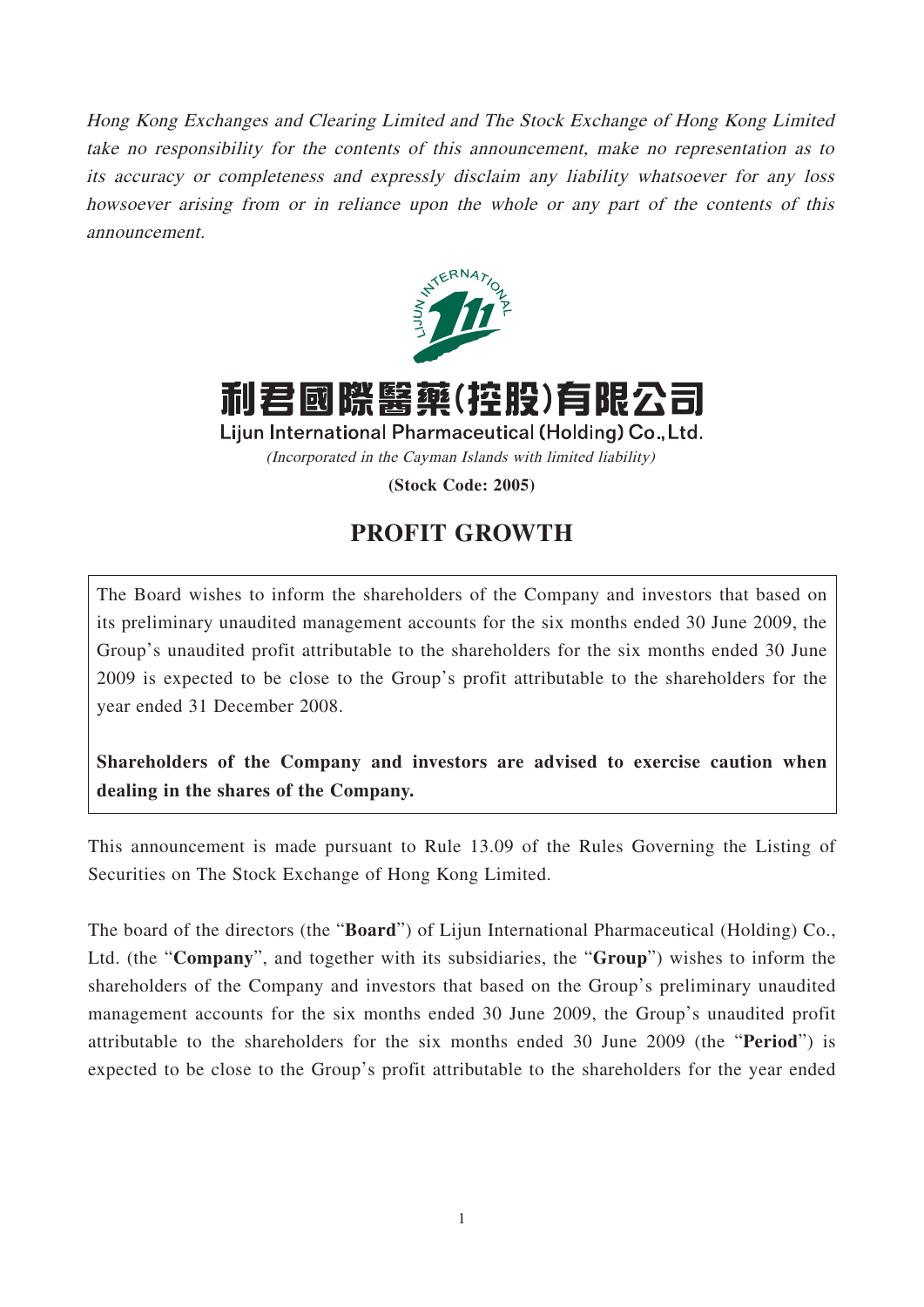Hong Kong Exchanges and Clearing Limited and The Stock Exchange of Hong Kong Limited take no responsibility for the contents of this announcement, make no representation as to its accuracy or completeness and expressly disclaim any liability whatsoever for any loss howsoever arising from or in reliance upon the whole or any part of the contents of this announcement.



利君國際醫藥(控股)有限公司

Lijun International Pharmaceutical (Holding) Co., Ltd. (Incorporated in the Cayman Islands with limited liability)

**(Stock Code: 2005)**

## **PROFIT GROWTH**

The Board wishes to inform the shareholders of the Company and investors that based on its preliminary unaudited management accounts for the six months ended 30 June 2009, the Group's unaudited profit attributable to the shareholders for the six months ended 30 June 2009 is expected to be close to the Group's profit attributable to the shareholders for the year ended 31 December 2008.

**Shareholders of the Company and investors are advised to exercise caution when dealing in the shares of the Company.**

This announcement is made pursuant to Rule 13.09 of the Rules Governing the Listing of Securities on The Stock Exchange of Hong Kong Limited.

The board of the directors (the "**Board**") of Lijun International Pharmaceutical (Holding) Co., Ltd. (the "**Company**", and together with its subsidiaries, the "**Group**") wishes to inform the shareholders of the Company and investors that based on the Group's preliminary unaudited management accounts for the six months ended 30 June 2009, the Group's unaudited profit attributable to the shareholders for the six months ended 30 June 2009 (the "**Period**") is expected to be close to the Group's profit attributable to the shareholders for the year ended